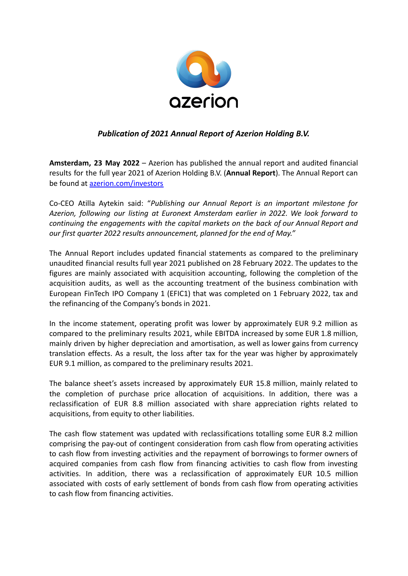

## *Publication of 2021 Annual Report of Azerion Holding B.V.*

**Amsterdam, 23 May 2022** – Azerion has published the annual report and audited financial results for the full year 2021 of Azerion Holding B.V. (**Annual Report**). The Annual Report can be found at [azerion.com/investors](http://www.azerion.com/investors)

Co-CEO Atilla Aytekin said: "*Publishing our Annual Report is an important milestone for Azerion, following our listing at Euronext Amsterdam earlier in 2022. We look forward to continuing the engagements with the capital markets on the back of our Annual Report and our first quarter 2022 results announcement, planned for the end of May."*

The Annual Report includes updated financial statements as compared to the preliminary unaudited financial results full year 2021 published on 28 February 2022. The updates to the figures are mainly associated with acquisition accounting, following the completion of the acquisition audits, as well as the accounting treatment of the business combination with European FinTech IPO Company 1 (EFIC1) that was completed on 1 February 2022, tax and the refinancing of the Company's bonds in 2021.

In the income statement, operating profit was lower by approximately EUR 9.2 million as compared to the preliminary results 2021, while EBITDA increased by some EUR 1.8 million, mainly driven by higher depreciation and amortisation, as well as lower gains from currency translation effects. As a result, the loss after tax for the year was higher by approximately EUR 9.1 million, as compared to the preliminary results 2021.

The balance sheet's assets increased by approximately EUR 15.8 million, mainly related to the completion of purchase price allocation of acquisitions. In addition, there was a reclassification of EUR 8.8 million associated with share appreciation rights related to acquisitions, from equity to other liabilities.

The cash flow statement was updated with reclassifications totalling some EUR 8.2 million comprising the pay-out of contingent consideration from cash flow from operating activities to cash flow from investing activities and the repayment of borrowings to former owners of acquired companies from cash flow from financing activities to cash flow from investing activities. In addition, there was a reclassification of approximately EUR 10.5 million associated with costs of early settlement of bonds from cash flow from operating activities to cash flow from financing activities.